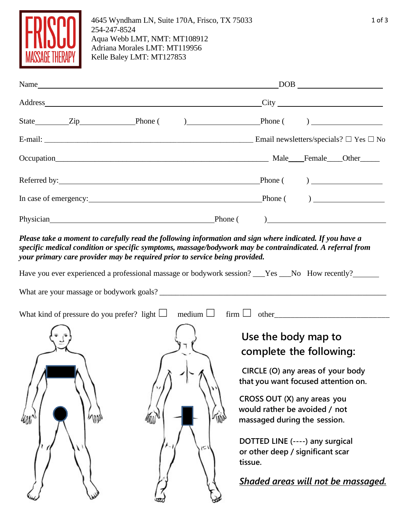

4645 Wyndham LN, Suite 170A, Frisco, TX 75033 254-247-8524 Aqua Webb LMT, NMT: MT108912 Adriana Morales LMT: MT119956 Kelle Baley LMT: MT127853

| Name                                                                                                                                                                                                                           |  |         |  | $\boxed{\text{DOB}}_{\text{max}}$                |
|--------------------------------------------------------------------------------------------------------------------------------------------------------------------------------------------------------------------------------|--|---------|--|--------------------------------------------------|
|                                                                                                                                                                                                                                |  |         |  | $\frac{\text{City}}{\text{dist}}$                |
| State Zip Phone () Phone Phone ()                                                                                                                                                                                              |  |         |  |                                                  |
|                                                                                                                                                                                                                                |  |         |  | Email newsletters/specials? $\Box$ Yes $\Box$ No |
| Occupation Male Female Other                                                                                                                                                                                                   |  |         |  |                                                  |
| Referred by: <u>Neterred by:</u> Neterred by:                                                                                                                                                                                  |  |         |  |                                                  |
|                                                                                                                                                                                                                                |  |         |  | $\frac{1}{2}$ Phone ()                           |
| Physician expansion and the state of the state of the state of the state of the state of the state of the state of the state of the state of the state of the state of the state of the state of the state of the state of the |  | Phone ( |  |                                                  |

Please take a moment to carefully read the following information and sign where indicated. If you have a *specific medical condition or specific symptoms, massage/bodywork may be contraindicated. A referral from your primary care provider may be required prior to service being provided.*

Have you ever experienced a professional massage or bodywork session? \_\_\_Yes \_\_\_No How recently?\_\_\_\_\_\_\_

| What kind of pressure do you prefer? light $\Box$ | medium $\Box$ | $\lim \Box$ other                                                                                                                                                                                                                                                                                                                                  |
|---------------------------------------------------|---------------|----------------------------------------------------------------------------------------------------------------------------------------------------------------------------------------------------------------------------------------------------------------------------------------------------------------------------------------------------|
| Ш                                                 | c             | Use the body map to<br>complete the following:<br>CIRCLE (O) any areas of your body<br>that you want focused attention on.<br>CROSS OUT (X) any areas you<br>would rather be avoided / not<br>massaged during the session.<br>DOTTED LINE (----) any surgical<br>or other deep / significant scar<br>tissue.<br>Shaded areas will not be massaged. |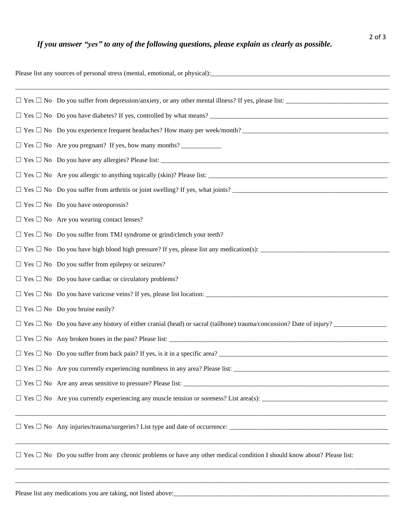| Please list any sources of personal stress (mental, emotional, or physical):<br><u>experiences</u> |                                                                                                                                    |  |  |  |
|----------------------------------------------------------------------------------------------------|------------------------------------------------------------------------------------------------------------------------------------|--|--|--|
|                                                                                                    |                                                                                                                                    |  |  |  |
|                                                                                                    |                                                                                                                                    |  |  |  |
|                                                                                                    | $\Box$ Yes $\Box$ No Do you experience frequent headaches? How many per week/month?                                                |  |  |  |
|                                                                                                    |                                                                                                                                    |  |  |  |
|                                                                                                    |                                                                                                                                    |  |  |  |
|                                                                                                    |                                                                                                                                    |  |  |  |
|                                                                                                    | $\Box$ Yes $\Box$ No Do you suffer from arthritis or joint swelling? If yes, what joints?                                          |  |  |  |
|                                                                                                    | $\Box$ Yes $\Box$ No Do you have osteoporosis?                                                                                     |  |  |  |
|                                                                                                    | $\Box$ Yes $\Box$ No Are you wearing contact lenses?                                                                               |  |  |  |
|                                                                                                    | $\Box$ Yes $\Box$ No Do you suffer from TMJ syndrome or grind/clench your teeth?                                                   |  |  |  |
|                                                                                                    |                                                                                                                                    |  |  |  |
|                                                                                                    | $\Box$ Yes $\Box$ No Do you suffer from epilepsy or seizures?                                                                      |  |  |  |
|                                                                                                    | $\Box$ Yes $\Box$ No Do you have cardiac or circulatory problems?                                                                  |  |  |  |
|                                                                                                    |                                                                                                                                    |  |  |  |
|                                                                                                    | $\Box$ Yes $\Box$ No Do you bruise easily?                                                                                         |  |  |  |
|                                                                                                    | $\Box$ Yes $\Box$ No Do you have any history of either cranial (head) or sacral (tailbone) trauma/concussion? Date of injury?      |  |  |  |
|                                                                                                    |                                                                                                                                    |  |  |  |
|                                                                                                    | $\Box$ Yes $\Box$ No Do you suffer from back pain? If yes, is it in a specific area?                                               |  |  |  |
|                                                                                                    |                                                                                                                                    |  |  |  |
|                                                                                                    |                                                                                                                                    |  |  |  |
|                                                                                                    |                                                                                                                                    |  |  |  |
|                                                                                                    | $\Box$ Yes $\Box$ No Any injuries/trauma/surgeries? List type and date of occurrence:                                              |  |  |  |
|                                                                                                    | $\Box$ Yes $\Box$ No Do you suffer from any chronic problems or have any other medical condition I should know about? Please list: |  |  |  |

\_\_\_\_\_\_\_\_\_\_\_\_\_\_\_\_\_\_\_\_\_\_\_\_\_\_\_\_\_\_\_\_\_\_\_\_\_\_\_\_\_\_\_\_\_\_\_\_\_\_\_\_\_\_\_\_\_\_\_\_\_\_\_\_\_\_\_\_\_\_\_\_\_\_\_\_\_\_\_\_\_\_\_\_\_\_\_\_\_\_\_\_\_\_\_\_\_\_\_\_\_\_\_\_\_\_\_\_\_\_\_\_\_

Please list any medications you are taking, not listed above:\_\_\_\_\_\_\_\_\_\_\_\_\_\_\_\_\_\_\_\_\_\_\_\_\_\_\_\_\_\_\_\_\_\_\_\_\_\_\_\_\_\_\_\_\_\_\_\_\_\_\_\_\_\_\_\_\_\_\_\_\_\_\_\_\_